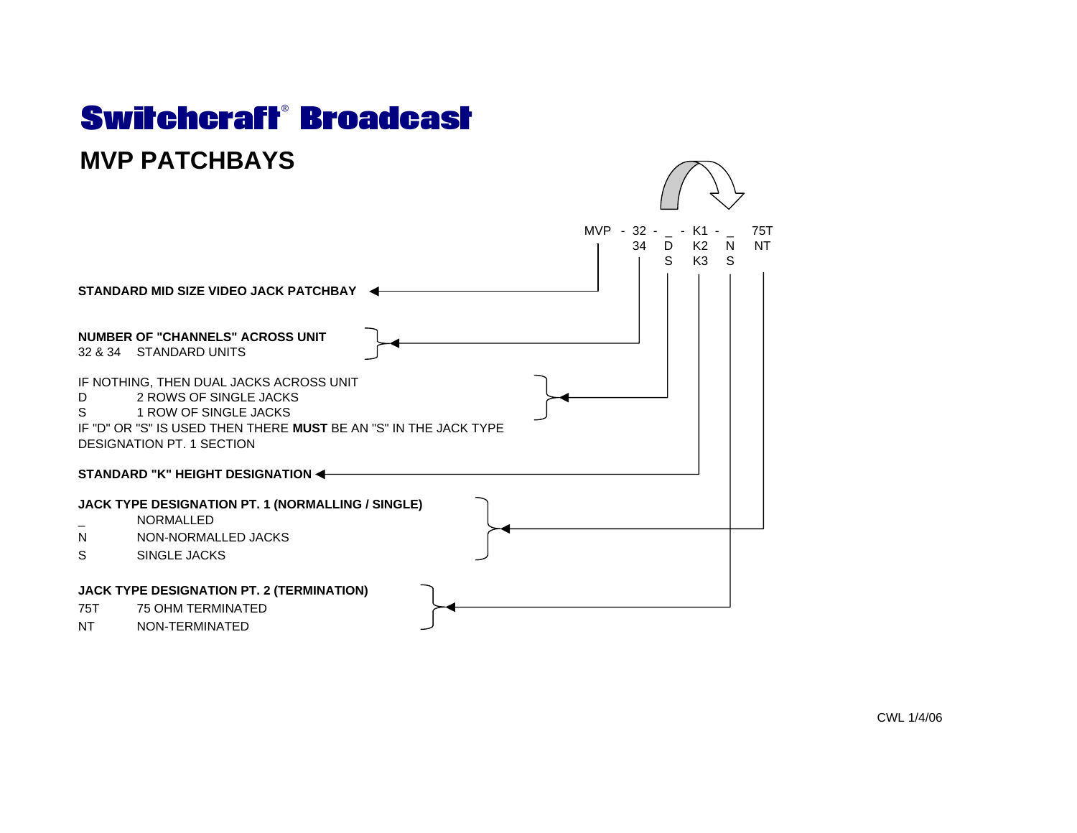## Switchcraft® Broadcast**MVP PATCHBAYS**



CWL 1/4/06